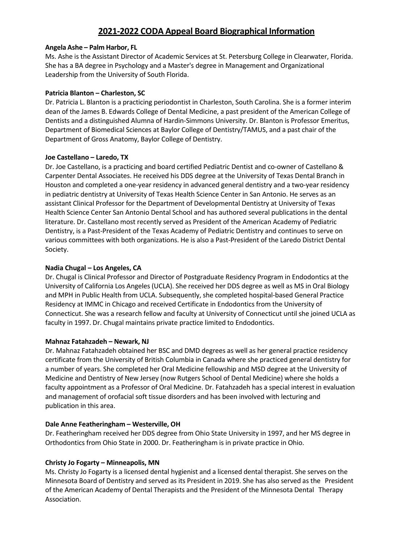#### **Angela Ashe – Palm Harbor, FL**

Ms. Ashe is the Assistant Director of Academic Services at St. Petersburg College in Clearwater, Florida. She has a BA degree in Psychology and a Master's degree in Management and Organizational Leadership from the University of South Florida.

#### **Patricia Blanton – Charleston, SC**

Dr. Patricia L. Blanton is a practicing periodontist in Charleston, South Carolina. She is a former interim dean of the James B. Edwards College of Dental Medicine, a past president of the American College of Dentists and a distinguished Alumna of Hardin-Simmons University. Dr. Blanton is Professor Emeritus, Department of Biomedical Sciences at Baylor College of Dentistry/TAMUS, and a past chair of the Department of Gross Anatomy, Baylor College of Dentistry.

#### **Joe Castellano – Laredo, TX**

Dr. Joe Castellano, is a practicing and board certified Pediatric Dentist and co-owner of Castellano & Carpenter Dental Associates. He received his DDS degree at the University of Texas Dental Branch in Houston and completed a one-year residency in advanced general dentistry and a two-year residency in pediatric dentistry at University of Texas Health Science Center in San Antonio. He serves as an assistant Clinical Professor for the Department of Developmental Dentistry at University of Texas Health Science Center San Antonio Dental School and has authored several publications in the dental literature. Dr. Castellano most recently served as President of the American Academy of Pediatric Dentistry, is a Past-President of the Texas Academy of Pediatric Dentistry and continues to serve on various committees with both organizations. He is also a Past-President of the Laredo District Dental Society.

#### **Nadia Chugal – Los Angeles, CA**

Dr. Chugal is Clinical Professor and Director of Postgraduate Residency Program in Endodontics at the University of California Los Angeles (UCLA). She received her DDS degree as well as MS in Oral Biology and MPH in Public Health from UCLA. Subsequently, she completed hospital-based General Practice Residency at IMMC in Chicago and received Certificate in Endodonticsfrom the University of Connecticut. She was a research fellow and faculty at University of Connecticut until she joined UCLA as faculty in 1997. Dr. Chugal maintains private practice limited to Endodontics.

#### **Mahnaz Fatahzadeh – Newark, NJ**

Dr. Mahnaz Fatahzadeh obtained her BSC and DMD degrees as well as her general practice residency certificate from the University of British Columbia in Canada where she practiced general dentistry for a number of years. She completed her Oral Medicine fellowship and MSD degree at the University of Medicine and Dentistry of New Jersey (now Rutgers School of Dental Medicine) where she holds a faculty appointment as a Professor of Oral Medicine. Dr. Fatahzadeh has a special interest in evaluation and management of orofacial soft tissue disorders and has been involved with lecturing and publication in this area.

#### **Dale Anne Featheringham – Westerville, OH**

Dr. Featheringham received her DDS degree from Ohio State University in 1997, and her MS degree in Orthodontics from Ohio State in 2000. Dr. Featheringham is in private practice in Ohio.

#### **Christy Jo Fogarty – Minneapolis, MN**

Ms. Christy Jo Fogarty is a licensed dental hygienist and a licensed dental therapist. She serves on the Minnesota Board of Dentistry and served as its President in 2019. She has also served as the President of the American Academy of Dental Therapists and the President of the Minnesota Dental Therapy Association.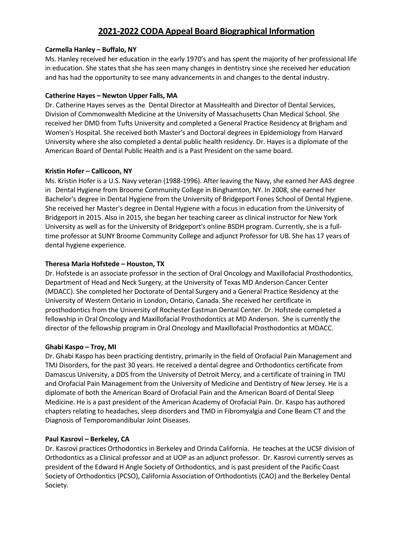#### **Carmella Hanley – Buffalo, NY**

Ms. Hanley received her education in the early 1970's and has spent the majority of her professional life in education. She states that she has seen many changes in dentistry since she received her education and has had the opportunity to see many advancements in and changes to the dental industry.

## **Catherine Hayes – Newton Upper Falls, MA**

Dr. Catherine Hayes serves as the Dental Director at MassHealth and Director of Dental Services, Division of Commonwealth Medicine at the University of Massachusetts Chan Medical School. She received her DMD from Tufts University and completed a General Practice Residency at Brigham and Women's Hospital. She received both Master's and Doctoral degrees in Epidemiology from Harvard University where she also completed a dental public health residency. Dr. Hayes is a diplomate of the American Board of Dental Public Health and is a Past President on the same board.

### **Kristin Hofer – Callicoon, NY**

Ms. Kristin Hofer is a U.S. Navy veteran (1988-1996). After leaving the Navy, she earned her AAS degree in Dental Hygiene from Broome Community College in Binghamton, NY. In 2008, she earned her Bachelor's degree in Dental Hygiene from the University of Bridgeport Fones School of Dental Hygiene. She received her Master's degree in Dental Hygiene with a focus in education from the University of Bridgeport in 2015. Also in 2015, she began her teaching career as clinical instructor for New York University as well as for the University of Bridgeport's online BSDH program. Currently, she is a fulltime professor at SUNY Broome Community College and adjunct Professor for UB. She has 17 years of dental hygiene experience.

### **Theresa Maria Hofstede – Houston, TX**

Dr. Hofstede is an associate professor in the section of Oral Oncology and Maxillofacial Prosthodontics, Department of Head and Neck Surgery, at the University of Texas MD Anderson Cancer Center (MDACC). She completed her Doctorate of Dental Surgery and a General Practice Residency at the University of Western Ontario in London, Ontario, Canada. She received her certificate in prosthodontics from the University of Rochester Eastman Dental Center. Dr. Hofstede completed a fellowship in Oral Oncology and Maxillofacial Prosthodontics at MD Anderson. She is currently the director of the fellowship program in Oral Oncology and Maxillofacial Prosthodontics at MDACC.

#### **Ghabi Kaspo – Troy, MI**

Dr. Ghabi Kaspo has been practicing dentistry, primarily in the field of Orofacial Pain Management and TMJ Disorders, for the past 30 years. He received a dental degree and Orthodontics certificate from Damascus University, a DDS from the University of Detroit Mercy, and a certificate of training in TMJ and Orofacial Pain Management from the University of Medicine and Dentistry of New Jersey. He is a diplomate of both the American Board of Orofacial Pain and the American Board of Dental Sleep Medicine. He is a past president of the American Academy of Orofacial Pain. Dr. Kaspo has authored chapters relating to headaches, sleep disorders and TMD in Fibromyalgia and Cone Beam CT and the Diagnosis of Temporomandibular Joint Diseases.

## **Paul Kasrovi – Berkeley, CA**

Dr. Kasrovi practices Orthodontics in Berkeley and Orinda California. He teaches at the UCSF division of Orthodontics as a Clinical professor and at UOP as an adjunct professor. Dr. Kasrovi currently serves as president of the Edward H Angle Society of Orthodontics, and is past president of the Pacific Coast Society of Orthodontics (PCSO), California Association of Orthodontists (CAO) and the Berkeley Dental Society.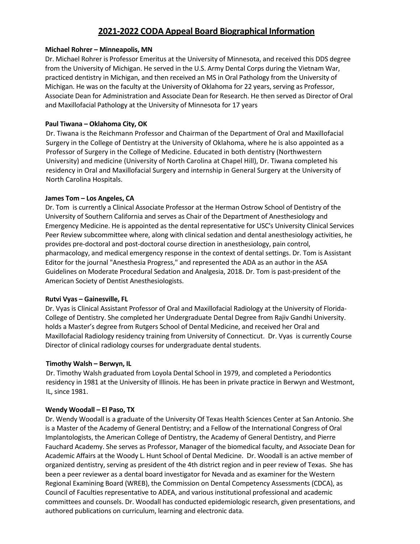#### **Michael Rohrer – Minneapolis, MN**

Dr. Michael Rohrer is Professor Emeritus at the University of Minnesota, and received this DDS degree from the University of Michigan. He served in the U.S. Army Dental Corps during the Vietnam War, practiced dentistry in Michigan, and then received an MS in Oral Pathology from the University of Michigan. He was on the faculty at the University of Oklahoma for 22 years, serving as Professor, Associate Dean for Administration and Associate Dean for Research. He then served as Director of Oral and Maxillofacial Pathology at the University of Minnesota for 17 years

### **Paul Tiwana – Oklahoma City, OK**

Dr. Tiwana is the Reichmann Professor and Chairman of the Department of Oral and Maxillofacial Surgery in the College of Dentistry at the University of Oklahoma, where he is also appointed as a Professor of Surgery in the College of Medicine. Educated in both dentistry (Northwestern University) and medicine (University of North Carolina at Chapel Hill), Dr. Tiwana completed his residency in Oral and Maxillofacial Surgery and internship in General Surgery at the University of North Carolina Hospitals.

#### **James Tom – Los Angeles, CA**

Dr. Tom is currently a Clinical Associate Professor at the Herman Ostrow School of Dentistry of the University of Southern California and serves as Chair of the Department of Anesthesiology and Emergency Medicine. He is appointed as the dental representative for USC's University Clinical Services Peer Review subcommittee where, along with clinical sedation and dental anesthesiology activities, he provides pre-doctoral and post-doctoral course direction in anesthesiology, pain control, pharmacology, and medical emergency response in the context of dental settings. Dr. Tom is Assistant Editor for the journal "Anesthesia Progress," and represented the ADA as an author in the ASA Guidelines on Moderate Procedural Sedation and Analgesia, 2018. Dr. Tom is past-president of the American Society of Dentist Anesthesiologists.

#### **Rutvi Vyas – Gainesville, FL**

Dr. Vyas is Clinical Assistant Professor of Oral and Maxillofacial Radiology at the University of Florida-College of Dentistry. She completed her Undergraduate Dental Degree from Rajiv Gandhi University. holds a Master's degree from Rutgers School of Dental Medicine, and received her Oral and Maxillofacial Radiology residency training from University of Connecticut. Dr. Vyas is currently Course Director of clinical radiology courses for undergraduate dental students.

#### **Timothy Walsh – Berwyn, IL**

Dr. Timothy Walsh graduated from Loyola Dental School in 1979, and completed a Periodontics residency in 1981 at the University of Illinois. He has been in private practice in Berwyn and Westmont, IL, since 1981.

#### **Wendy Woodall – El Paso, TX**

Dr. Wendy Woodall is a graduate of the University Of Texas Health Sciences Center at San Antonio. She is a Master of the Academy of General Dentistry; and a Fellow of the International Congress of Oral Implantologists, the American College of Dentistry, the Academy of General Dentistry, and Pierre Fauchard Academy. She serves as Professor, Manager of the biomedical faculty, and Associate Dean for Academic Affairs at the Woody L. Hunt School of Dental Medicine. Dr. Woodall is an active member of organized dentistry, serving as president of the 4th district region and in peer review of Texas. She has been a peer reviewer as a dental board investigator for Nevada and as examiner for the Western Regional Examining Board (WREB), the Commission on Dental Competency Assessments (CDCA), as Council of Faculties representative to ADEA, and various institutional professional and academic committees and counsels. Dr. Woodall has conducted epidemiologic research, given presentations, and authored publications on curriculum, learning and electronic data.